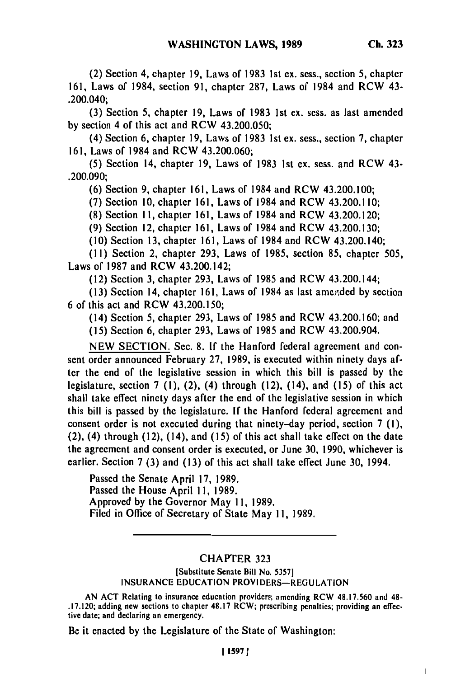**(3)** Section **5,** chapter **19,** Laws of **1983 1st** ex. sess. as last amended **by** section 4 of this act and RCW 43.200.050;

(4) Section 6, chapter **19,** Laws of **1983 1st ex.** sess., section **7,** chapter **161,** Laws of 1984 and RCW 43.200.060;

**(5)** Section 14, chapter **19,** Laws of 1983 **Ist ex.** sess. and RCW 43- .200.090;

**(6)** Section **9,** chapter **161,** Laws of 1984 and RCW 43.200.100;

**(7)** Section **10,** chapter **161,** Laws of 1984 and RCW 43.200.110;

**(8)** Section **I1,** chapter **161,** Laws of 1984 and RCW 43.200.120;

**(9)** Section 12, chapter **161,** Laws of 1984 and **RCW** 43.200.130;

(10) Section **13,** chapter **161,** Laws of 1984 and RCW 43.200.140;

**(11)** Section 2, chapter **293,** Laws of **1985,** section **85,** chapter **505,** Laws of **1987** and RCW 43.200.142;

(12) Section **3,** chapter **293,** Laws of **1985** and RCW 43.200.144;

**(13)** Section 14, chapter **161,** Laws of 1984 as last ame .,ded **by** section 6 of this act and RCW 43.200.150;

(14) Section **5,** chapter **293,** Laws of **1985** and RCW 43.200.160; and

**(15)** Section 6, chapter **293,** Laws of 1985 and RCW 43.200.904.

**NEW** SECTION. Sec. 8. **If** the Hanford federal agreement and consent order announced February **27,** 1989, is executed within ninety days after the end of the legislative session in which this bill is passed **by** the legislature, section 7 **(1),** (2), (4) through (12), (14), and **(15)** of this act shall take effect ninety days after the end of the legislative session in which this bill is passed **by** the legislature. **If** the Hanford federal agreement and consent order is not executed during that ninety-day period, section 7 **(1),** (2), (4) through (12), (14), and **(15)** of this act shall take effect on the date the agreement and consent order is executed, or June **30, 1990,** whichever is earlier. Section 7 **(3)** and **(13)** of this act shall take effect June **30,** 1994.

Passed the Senate April **17, 1989.** Passed the House April **1I,** 1989. Approved by the Governor May **11,** 1989. Filed in Office of Secretary of State May **11,** 1989.

## CHAPTER **323**

[Substitute Senate Bill No. **53571 INSURANCE EDUCATION** PROVIDERS-REGULATION

**AN ACT** Relating to insurance education providers; amending RCW 48.17.560 and 48- **.17.120;** adding new sections to chapter **48.17** RCW; prescribing penalties; providing an **effec**tive date; and declaring an emergency.

Be it enacted **by** the Legislature of the State of Washington:

 $\begin{array}{c} \hline \end{array}$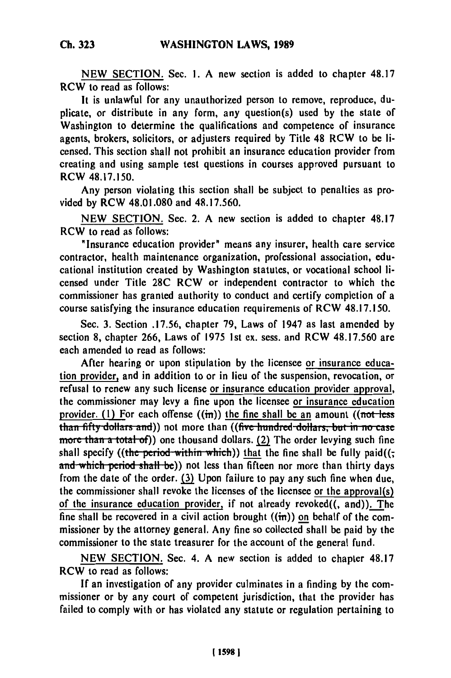**NEW SECTION.** Sec. **1.** A new section is added to chapter **48.17** RCW to read as follows:

It is unlawful for any unauthorized person to remove, reproduce, duplicate, or distribute in any form, any question(s) used **by** the state of Washington to determine the qualifications and competence of insurance agents, brokers, solicitors, or adjusters required by Title 48 RCW to be licensed. This section shall not prohibit an insurance education provider from creating and using sample test questions in courses approved pursuant to RCW 48.17.150.

Any person violating this section shall be subject to penalties as provided by RCW 48.01.080 and 48.17.560.

**NEW** SECTION. Sec. 2. A new section is added to chapter **48.17** RCW to read as follows:

"Insurance education provider" means any insurer, health care service contractor, health maintenance organization, professional association, educational institution created **by** Washington statutes, or vocational school licensed under Title 28C RCW or independent contractor to which the commissioner has granted authority to conduct and certify completion of a course satisfying the insurance education requirements of RCW 48.17.150.

Sec. **3.** Section **.17.56,** chapter **79,** Laws of 1947 as last amended by section **8,** chapter **266,** Laws of **1975 1st** ex. sess. and RCW 48.17.560 are each amended to read as follows:

After hearing or upon stipulation **by** the licensee or insurance education provider, and in addition to or in lieu of the suspension, revocation, or refusal to renew any such license or insurance education provider approval, the commissioner may levy a fine upon the licensee or insurance education provider. (1) For each offense  $((\text{in}))$  the fine shall be an amount  $((\text{not-less})$ **than fifty dollars and))** not more than ((five hundred dollars, but in no case **more than a total of)** one thousand dollars. (2) The order levying such fine shall specify ((the period within which)) that the fine shall be fully paid( $($ ; and which period shall be)) not less than fifteen nor more than thirty days from the date of the order. **(3)** Upon failure to pay any such fine when due, the commissioner shall revoke the licenses of the licensee or the approval(s) of the insurance education provider, if not already revoked $((, \text{ and})).$  The fine shall be recovered in a civil action brought  $((\text{in}))$  on behalf of the commissioner **by** the attorney general. Any fine so collected shall be paid **by** the commissioner to the state treasurer for the account of the general fund.

**NEW SECTION.** Sec. 4. **A** new section is added to chapter **48.17** RCW to read as follows:

**If** an investigation of any provider culminates in a finding **by** the commissioner or **by** any court of competent jurisdiction, that the provider has failed to comply with or has violated any statute or regulation pertaining to

**Ch. 323**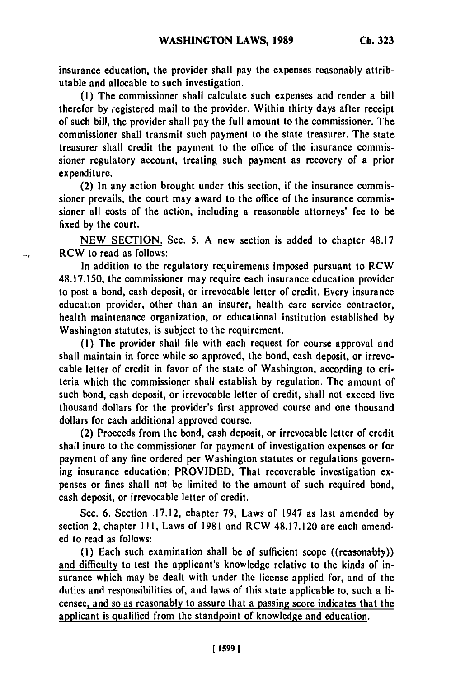insurance education, the provider shall pay the expenses reasonably attributable and allocable to such investigation.

**(1)** The commissioner shall calculate such expenses and render a bill therefor **by** registered mail to the provider. Within thirty days after receipt of such bill, the provider shall pay the full amount to the commissioner. The commissioner shall transmit such payment to the state treasurer. The state treasurer shall credit the payment to the office of the insurance commissioner regulatory account, treating such payment as recovery of a prior expenditure.

(2) In any action brought under this section, if the insurance commissioner prevails, the court may award to the office of the insurance commissioner all costs of the action, including a reasonable attorneys' fee to be fixed **by** the court.

**NEW SECTION.** Sec. **5. A** new section is added to chapter **48.17** RCW to read as follows:

In addition to the regulatory requirements imposed pursuant to RCW **48.17.150,** the commissioner may require each insurance education provider to post a bond, cash deposit, or irrevocable letter of credit. Every insurance education provider, other than an insurer, health care service contractor, health maintenance organization, or educational institution established **by** Washington statutes, is subject to the requirement.

**(1)** The provider shall file with each request for course approval and shall maintain in force while so approved, the bond, cash deposit, or irrevocable letter of credit in favor of the state of Washington, according to criteria which the commissioner shall establish **by** regulation. The amount of such bond, cash deposit, or irrevocable letter of credit, shall not exceed five thousand dollars for the provider's first approved course and one thousand dollars for each additional approved course.

(2) Proceeds from the bond, cash deposit, or irrevocable letter of credit shall inure to the commissioner for payment of investigation expenses or for payment of any fine ordered per Washington statutes or regulations governing insurance education: PROVIDED, That recoverable investigation **ex**penses or fines shall not be limited to the amount of such required bond, cash deposit, or irrevocable letter of credit.

Sec. **6.** Section **.17.12,** chapter **79,** Laws of 1947 as last amended **by** section 2, chapter **111,** Laws of **1981** and RCW **48.17.120 are** each amended to read as follows:

**(1)** Each such examination shall **be** of sufficient scope ((reasonably)) and difficulty to test the applicant's knowledge relative to the kinds of insurance which may be dealt with under the license applied for, and of the duties and responsibilities of, and laws of this state applicable to, such a licensee, and so as reasonably to assure that a passing score indicates that the applicant is qualified from the standpoint of knowledge and education.